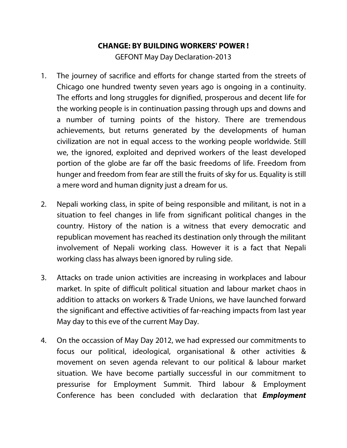## **CHANGE: BY BUILDING WORKERS' POWER !**

GEFONT May Day Declaration-2013

- 1. The journey of sacrifice and efforts for change started from the streets of Chicago one hundred twenty seven years ago is ongoing in a continuity. The efforts and long struggles for dignified, prosperous and decent life for the working people is in continuation passing through ups and downs and a number of turning points of the history. There are tremendous achievements, but returns generated by the developments of human civilization are not in equal access to the working people worldwide. Still we, the ignored, exploited and deprived workers of the least developed portion of the globe are far off the basic freedoms of life. Freedom from hunger and freedom from fear are still the fruits of sky for us. Equality is still a mere word and human dignity just a dream for us.
- 2. Nepali working class, in spite of being responsible and militant, is not in a situation to feel changes in life from significant political changes in the country. History of the nation is a witness that every democratic and republican movement has reached its destination only through the militant involvement of Nepali working class. However it is a fact that Nepali working class has always been ignored by ruling side.
- 3. Attacks on trade union activities are increasing in workplaces and labour market. In spite of difficult political situation and labour market chaos in addition to attacks on workers & Trade Unions, we have launched forward the significant and effective activities of far-reaching impacts from last year May day to this eve of the current May Day.
- 4. On the occassion of May Day 2012, we had expressed our commitments to focus our political, ideological, organisational & other activities & movement on seven agenda relevant to our political & labour market situation. We have become partially successful in our commitment to pressurise for Employment Summit. Third labour & Employment Conference has been concluded with declaration that **Employment**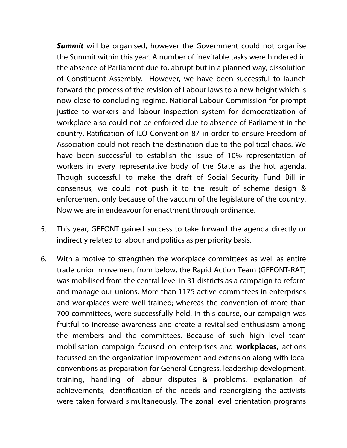**Summit** will be organised, however the Government could not organise the Summit within this year. A number of inevitable tasks were hindered in the absence of Parliament due to, abrupt but in a planned way, dissolution of Constituent Assembly. However, we have been successful to launch forward the process of the revision of Labour laws to a new height which is now close to concluding regime. National Labour Commission for prompt justice to workers and labour inspection system for democratization of workplace also could not be enforced due to absence of Parliament in the country. Ratification of ILO Convention 87 in order to ensure Freedom of Association could not reach the destination due to the political chaos. We have been successful to establish the issue of 10% representation of workers in every representative body of the State as the hot agenda. Though successful to make the draft of Social Security Fund Bill in consensus, we could not push it to the result of scheme design & enforcement only because of the vaccum of the legislature of the country. Now we are in endeavour for enactment through ordinance.

- 5. This year, GEFONT gained success to take forward the agenda directly or indirectly related to labour and politics as per priority basis.
- 6. With a motive to strengthen the workplace committees as well as entire trade union movement from below, the Rapid Action Team (GEFONT-RAT) was mobilised from the central level in 31 districts as a campaign to reform and manage our unions. More than 1175 active committees in enterprises and workplaces were well trained; whereas the convention of more than 700 committees, were successfully held. In this course, our campaign was fruitful to increase awareness and create a revitalised enthusiasm among the members and the committees. Because of such high level team mobilisation campaign focused on enterprises and **workplaces,** actions focussed on the organization improvement and extension along with local conventions as preparation for General Congress, leadership development, training, handling of labour disputes & problems, explanation of achievements, identification of the needs and reenergizing the activists were taken forward simultaneously. The zonal level orientation programs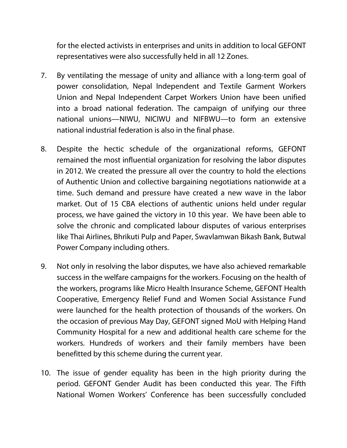for the elected activists in enterprises and units in addition to local GEFONT representatives were also successfully held in all 12 Zones.

- 7. By ventilating the message of unity and alliance with a long-term goal of power consolidation, Nepal Independent and Textile Garment Workers Union and Nepal Independent Carpet Workers Union have been unified into a broad national federation. The campaign of unifying our three national unions—NIWU, NICIWU and NIFBWU—to form an extensive national industrial federation is also in the final phase.
- 8. Despite the hectic schedule of the organizational reforms, GEFONT remained the most influential organization for resolving the labor disputes in 2012. We created the pressure all over the country to hold the elections of Authentic Union and collective bargaining negotiations nationwide at a time. Such demand and pressure have created a new wave in the labor market. Out of 15 CBA elections of authentic unions held under regular process, we have gained the victory in 10 this year. We have been able to solve the chronic and complicated labour disputes of various enterprises like Thai Airlines, Bhrikuti Pulp and Paper, Swavlamwan Bikash Bank, Butwal Power Company including others.
- 9. Not only in resolving the labor disputes, we have also achieved remarkable success in the welfare campaigns for the workers. Focusing on the health of the workers, programs like Micro Health Insurance Scheme, GEFONT Health Cooperative, Emergency Relief Fund and Women Social Assistance Fund were launched for the health protection of thousands of the workers. On the occasion of previous May Day, GEFONT signed MoU with Helping Hand Community Hospital for a new and additional health care scheme for the workers. Hundreds of workers and their family members have been benefitted by this scheme during the current year.
- 10. The issue of gender equality has been in the high priority during the period. GEFONT Gender Audit has been conducted this year. The Fifth National Women Workers' Conference has been successfully concluded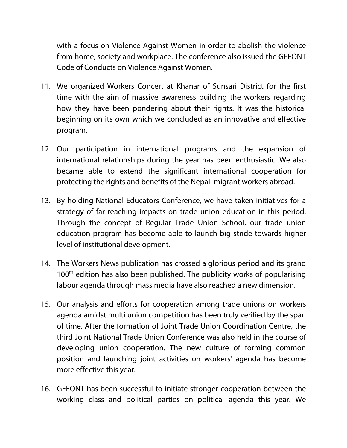with a focus on Violence Against Women in order to abolish the violence from home, society and workplace. The conference also issued the GEFONT Code of Conducts on Violence Against Women.

- 11. We organized Workers Concert at Khanar of Sunsari District for the first time with the aim of massive awareness building the workers regarding how they have been pondering about their rights. It was the historical beginning on its own which we concluded as an innovative and effective program.
- 12. Our participation in international programs and the expansion of international relationships during the year has been enthusiastic. We also became able to extend the significant international cooperation for protecting the rights and benefits of the Nepali migrant workers abroad.
- 13. By holding National Educators Conference, we have taken initiatives for a strategy of far reaching impacts on trade union education in this period. Through the concept of Regular Trade Union School, our trade union education program has become able to launch big stride towards higher level of institutional development.
- 14. The Workers News publication has crossed a glorious period and its grand 100<sup>th</sup> edition has also been published. The publicity works of popularising labour agenda through mass media have also reached a new dimension.
- 15. Our analysis and efforts for cooperation among trade unions on workers agenda amidst multi union competition has been truly verified by the span of time. After the formation of Joint Trade Union Coordination Centre, the third Joint National Trade Union Conference was also held in the course of developing union cooperation. The new culture of forming common position and launching joint activities on workers' agenda has become more effective this year.
- 16. GEFONT has been successful to initiate stronger cooperation between the working class and political parties on political agenda this year. We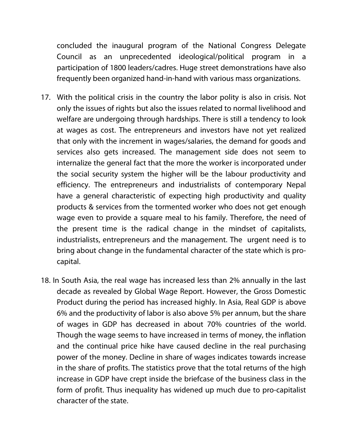concluded the inaugural program of the National Congress Delegate Council as an unprecedented ideological/political program in a participation of 1800 leaders/cadres. Huge street demonstrations have also frequently been organized hand-in-hand with various mass organizations.

- 17. With the political crisis in the country the labor polity is also in crisis. Not only the issues of rights but also the issues related to normal livelihood and welfare are undergoing through hardships. There is still a tendency to look at wages as cost. The entrepreneurs and investors have not yet realized that only with the increment in wages/salaries, the demand for goods and services also gets increased. The management side does not seem to internalize the general fact that the more the worker is incorporated under the social security system the higher will be the labour productivity and efficiency. The entrepreneurs and industrialists of contemporary Nepal have a general characteristic of expecting high productivity and quality products & services from the tormented worker who does not get enough wage even to provide a square meal to his family. Therefore, the need of the present time is the radical change in the mindset of capitalists, industrialists, entrepreneurs and the management. The urgent need is to bring about change in the fundamental character of the state which is procapital.
- 18. In South Asia, the real wage has increased less than 2% annually in the last decade as revealed by Global Wage Report. However, the Gross Domestic Product during the period has increased highly. In Asia, Real GDP is above 6% and the productivity of labor is also above 5% per annum, but the share of wages in GDP has decreased in about 70% countries of the world. Though the wage seems to have increased in terms of money, the inflation and the continual price hike have caused decline in the real purchasing power of the money. Decline in share of wages indicates towards increase in the share of profits. The statistics prove that the total returns of the high increase in GDP have crept inside the briefcase of the business class in the form of profit. Thus inequality has widened up much due to pro-capitalist character of the state.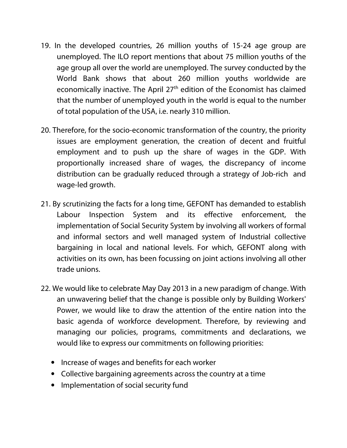- 19. In the developed countries, 26 million youths of 15-24 age group are unemployed. The ILO report mentions that about 75 million youths of the age group all over the world are unemployed. The survey conducted by the World Bank shows that about 260 million youths worldwide are economically inactive. The April 27<sup>th</sup> edition of the Economist has claimed that the number of unemployed youth in the world is equal to the number of total population of the USA, i.e. nearly 310 million.
- 20. Therefore, for the socio-economic transformation of the country, the priority issues are employment generation, the creation of decent and fruitful employment and to push up the share of wages in the GDP. With proportionally increased share of wages, the discrepancy of income distribution can be gradually reduced through a strategy of Job-rich and wage-led growth.
- 21. By scrutinizing the facts for a long time, GEFONT has demanded to establish Labour Inspection System and its effective enforcement, the implementation of Social Security System by involving all workers of formal and informal sectors and well managed system of Industrial collective bargaining in local and national levels. For which, GEFONT along with activities on its own, has been focussing on joint actions involving all other trade unions.
- 22. We would like to celebrate May Day 2013 in a new paradigm of change. With an unwavering belief that the change is possible only by Building Workers' Power, we would like to draw the attention of the entire nation into the basic agenda of workforce development. Therefore, by reviewing and managing our policies, programs, commitments and declarations, we would like to express our commitments on following priorities:
	- Increase of wages and benefits for each worker
	- Collective bargaining agreements across the country at a time
	- Implementation of social security fund